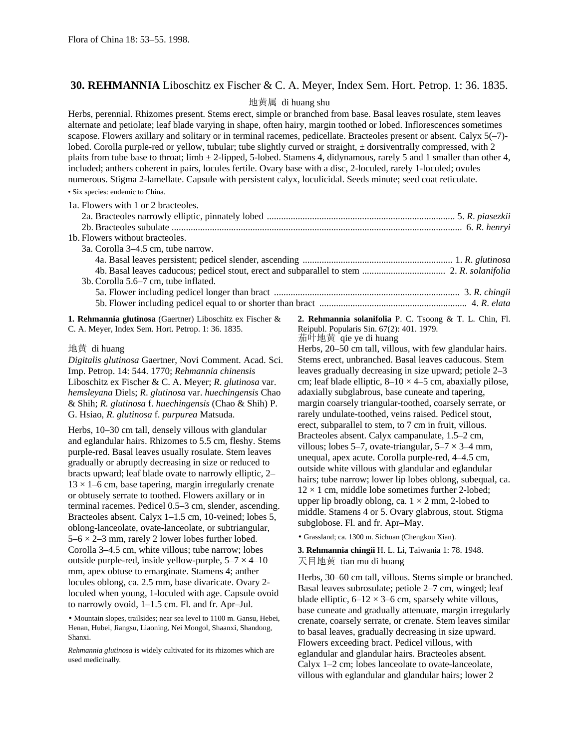## **30. REHMANNIA** Liboschitz ex Fischer & C. A. Meyer, Index Sem. Hort. Petrop. 1: 36. 1835.

## 地黄属 di huang shu

Herbs, perennial. Rhizomes present. Stems erect, simple or branched from base. Basal leaves rosulate, stem leaves alternate and petiolate; leaf blade varying in shape, often hairy, margin toothed or lobed. Inflorescences sometimes scapose. Flowers axillary and solitary or in terminal racemes, pedicellate. Bracteoles present or absent. Calyx 5(-7)lobed. Corolla purple-red or yellow, tubular; tube slightly curved or straight,  $\pm$  dorsiventrally compressed, with 2 plaits from tube base to throat; limb  $\pm$  2-lipped, 5-lobed. Stamens 4, didynamous, rarely 5 and 1 smaller than other 4, included; anthers coherent in pairs, locules fertile. Ovary base with a disc, 2-loculed, rarely 1-loculed; ovules numerous. Stigma 2-lamellate. Capsule with persistent calyx, loculicidal. Seeds minute; seed coat reticulate.

• Six species: endemic to China.

| 1a. Flowers with 1 or 2 bracteoles.  |  |
|--------------------------------------|--|
|                                      |  |
|                                      |  |
| 1b. Flowers without bracteoles.      |  |
| 3a. Corolla 3–4.5 cm, tube narrow.   |  |
|                                      |  |
|                                      |  |
| 3b. Corolla 5.6–7 cm, tube inflated. |  |
|                                      |  |
|                                      |  |
|                                      |  |

**1. Rehmannia glutinosa** (Gaertner) Liboschitz ex Fischer & C. A. Meyer, Index Sem. Hort. Petrop. 1: 36. 1835.

地黄 di huang

*Digitalis glutinosa* Gaertner, Novi Comment. Acad. Sci. Imp. Petrop. 14: 544. 1770; *Rehmannia chinensis* Liboschitz ex Fischer & C. A. Meyer; *R*. *glutinosa* var. *hemsleyana* Diels; *R*. *glutinosa* var. *huechingensis* Chao & Shih; *R. glutinosa* f. *huechingensis* (Chao & Shih) P. G. Hsiao, *R. glutinosa* f. *purpurea* Matsuda.

Herbs, 10–30 cm tall, densely villous with glandular and eglandular hairs. Rhizomes to 5.5 cm, fleshy. Stems purple-red. Basal leaves usually rosulate. Stem leaves gradually or abruptly decreasing in size or reduced to bracts upward; leaf blade ovate to narrowly elliptic, 2–  $13 \times 1$ –6 cm, base tapering, margin irregularly crenate or obtusely serrate to toothed. Flowers axillary or in terminal racemes. Pedicel 0.5–3 cm, slender, ascending. Bracteoles absent. Calyx 1–1.5 cm, 10-veined; lobes 5, oblong-lanceolate, ovate-lanceolate, or subtriangular,  $5-6 \times 2-3$  mm, rarely 2 lower lobes further lobed. Corolla 3–4.5 cm, white villous; tube narrow; lobes outside purple-red, inside yellow-purple,  $5-7 \times 4-10$ mm, apex obtuse to emarginate. Stamens 4; anther locules oblong, ca. 2.5 mm, base divaricate. Ovary 2 loculed when young, 1-loculed with age. Capsule ovoid to narrowly ovoid, 1–1.5 cm. Fl. and fr. Apr–Jul.

• Mountain slopes, trailsides; near sea level to 1100 m. Gansu, Hebei, Henan, Hubei, Jiangsu, Liaoning, Nei Mongol, Shaanxi, Shandong, Shanxi.

*Rehmannia glutinosa* is widely cultivated for its rhizomes which are used medicinally.

**2. Rehmannia solanifolia** P. C. Tsoong & T. L. Chin, Fl. Reipubl. Popularis Sin. 67(2): 401. 1979. 茄叶地黄 qie ye di huang

Herbs, 20–50 cm tall, villous, with few glandular hairs. Stems erect, unbranched. Basal leaves caducous. Stem leaves gradually decreasing in size upward; petiole 2–3 cm; leaf blade elliptic,  $8-10 \times 4-5$  cm, abaxially pilose, adaxially subglabrous, base cuneate and tapering, margin coarsely triangular-toothed, coarsely serrate, or rarely undulate-toothed, veins raised. Pedicel stout, erect, subparallel to stem, to 7 cm in fruit, villous. Bracteoles absent. Calyx campanulate, 1.5–2 cm, villous; lobes 5–7, ovate-triangular,  $5-7 \times 3-4$  mm, unequal, apex acute. Corolla purple-red, 4–4.5 cm, outside white villous with glandular and eglandular hairs; tube narrow; lower lip lobes oblong, subequal, ca.  $12 \times 1$  cm, middle lobe sometimes further 2-lobed; upper lip broadly oblong, ca.  $1 \times 2$  mm, 2-lobed to middle. Stamens 4 or 5. Ovary glabrous, stout. Stigma subglobose. Fl. and fr. Apr–May.

• Grassland; ca. 1300 m. Sichuan (Chengkou Xian).

**3. Rehmannia chingii** H. L. Li, Taiwania 1: 78. 1948. 天目地黄 tian mu di huang

Herbs, 30–60 cm tall, villous. Stems simple or branched. Basal leaves subrosulate; petiole 2–7 cm, winged; leaf blade elliptic,  $6-12 \times 3-6$  cm, sparsely white villous, base cuneate and gradually attenuate, margin irregularly crenate, coarsely serrate, or crenate. Stem leaves similar to basal leaves, gradually decreasing in size upward. Flowers exceeding bract. Pedicel villous, with eglandular and glandular hairs. Bracteoles absent. Calyx 1–2 cm; lobes lanceolate to ovate-lanceolate, villous with eglandular and glandular hairs; lower 2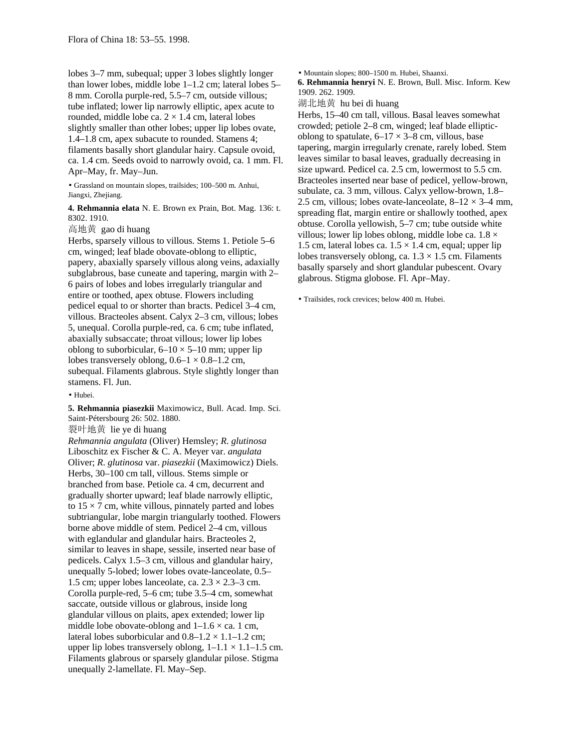lobes 3–7 mm, subequal; upper 3 lobes slightly longer than lower lobes, middle lobe 1–1.2 cm; lateral lobes 5– 8 mm. Corolla purple-red, 5.5–7 cm, outside villous; tube inflated; lower lip narrowly elliptic, apex acute to rounded, middle lobe ca.  $2 \times 1.4$  cm, lateral lobes slightly smaller than other lobes; upper lip lobes ovate, 1.4–1.8 cm, apex subacute to rounded. Stamens 4; filaments basally short glandular hairy. Capsule ovoid, ca. 1.4 cm. Seeds ovoid to narrowly ovoid, ca. 1 mm. Fl. Apr–May, fr. May–Jun.

• Grassland on mountain slopes, trailsides; 100–500 m. Anhui, Jiangxi, Zhejiang.

**4. Rehmannia elata** N. E. Brown ex Prain, Bot. Mag. 136: t. 8302. 1910.

高地黄 gao di huang

Herbs, sparsely villous to villous. Stems 1. Petiole 5–6 cm, winged; leaf blade obovate-oblong to elliptic, papery, abaxially sparsely villous along veins, adaxially subglabrous, base cuneate and tapering, margin with 2– 6 pairs of lobes and lobes irregularly triangular and entire or toothed, apex obtuse. Flowers including pedicel equal to or shorter than bracts. Pedicel 3–4 cm, villous. Bracteoles absent. Calyx 2–3 cm, villous; lobes 5, unequal. Corolla purple-red, ca. 6 cm; tube inflated, abaxially subsaccate; throat villous; lower lip lobes oblong to suborbicular,  $6-10 \times 5-10$  mm; upper lip lobes transversely oblong,  $0.6-1 \times 0.8-1.2$  cm, subequal. Filaments glabrous. Style slightly longer than stamens. Fl. Jun.

• Hubei.

**5. Rehmannia piasezkii** Maximowicz, Bull. Acad. Imp. Sci. Saint-Pétersbourg 26: 502. 1880.

裂叶地黄 lie ye di huang

*Rehmannia angulata* (Oliver) Hemsley; *R*. *glutinosa* Liboschitz ex Fischer & C. A. Meyer var. *angulata* Oliver; *R*. *glutinosa* var. *piasezkii* (Maximowicz) Diels. Herbs, 30–100 cm tall, villous. Stems simple or branched from base. Petiole ca. 4 cm, decurrent and gradually shorter upward; leaf blade narrowly elliptic, to  $15 \times 7$  cm, white villous, pinnately parted and lobes subtriangular, lobe margin triangularly toothed. Flowers borne above middle of stem. Pedicel 2–4 cm, villous with eglandular and glandular hairs. Bracteoles 2, similar to leaves in shape, sessile, inserted near base of pedicels. Calyx 1.5–3 cm, villous and glandular hairy, unequally 5-lobed; lower lobes ovate-lanceolate, 0.5– 1.5 cm; upper lobes lanceolate, ca.  $2.3 \times 2.3$ –3 cm. Corolla purple-red, 5–6 cm; tube 3.5–4 cm, somewhat saccate, outside villous or glabrous, inside long glandular villous on plaits, apex extended; lower lip middle lobe obovate-oblong and  $1-1.6 \times$  ca. 1 cm, lateral lobes suborbicular and  $0.8-1.2 \times 1.1-1.2$  cm; upper lip lobes transversely oblong,  $1-1.1 \times 1.1-1.5$  cm. Filaments glabrous or sparsely glandular pilose. Stigma unequally 2-lamellate. Fl. May–Sep.

• Mountain slopes; 800–1500 m. Hubei, Shaanxi.

**6. Rehmannia henryi** N. E. Brown, Bull. Misc. Inform. Kew 1909. 262. 1909.

湖北地黄 hu bei di huang

Herbs, 15–40 cm tall, villous. Basal leaves somewhat crowded; petiole 2–8 cm, winged; leaf blade ellipticoblong to spatulate,  $6-17 \times 3-8$  cm, villous, base tapering, margin irregularly crenate, rarely lobed. Stem leaves similar to basal leaves, gradually decreasing in size upward. Pedicel ca. 2.5 cm, lowermost to 5.5 cm. Bracteoles inserted near base of pedicel, yellow-brown, subulate, ca. 3 mm, villous. Calyx yellow-brown, 1.8– 2.5 cm, villous; lobes ovate-lanceolate,  $8-12 \times 3-4$  mm, spreading flat, margin entire or shallowly toothed, apex obtuse. Corolla yellowish, 5–7 cm; tube outside white villous; lower lip lobes oblong, middle lobe ca.  $1.8 \times$ 1.5 cm, lateral lobes ca.  $1.5 \times 1.4$  cm, equal; upper lip lobes transversely oblong, ca.  $1.3 \times 1.5$  cm. Filaments basally sparsely and short glandular pubescent. Ovary glabrous. Stigma globose. Fl. Apr–May.

• Trailsides, rock crevices; below 400 m. Hubei.